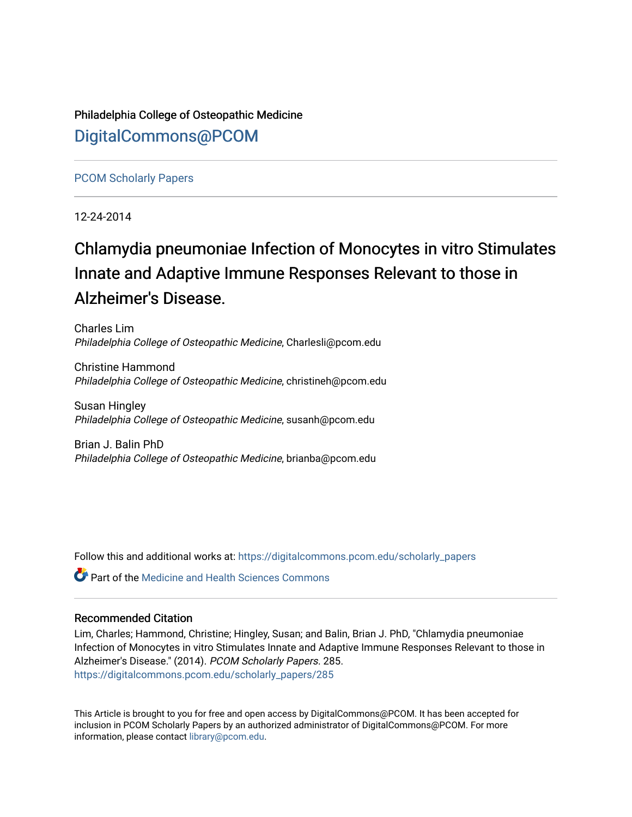Philadelphia College of Osteopathic Medicine [DigitalCommons@PCOM](https://digitalcommons.pcom.edu/) 

[PCOM Scholarly Papers](https://digitalcommons.pcom.edu/scholarly_papers) 

12-24-2014

# Chlamydia pneumoniae Infection of Monocytes in vitro Stimulates Innate and Adaptive Immune Responses Relevant to those in Alzheimer's Disease.

Charles Lim Philadelphia College of Osteopathic Medicine, Charlesli@pcom.edu

Christine Hammond Philadelphia College of Osteopathic Medicine, christineh@pcom.edu

Susan Hingley Philadelphia College of Osteopathic Medicine, susanh@pcom.edu

Brian J. Balin PhD Philadelphia College of Osteopathic Medicine, brianba@pcom.edu

Follow this and additional works at: [https://digitalcommons.pcom.edu/scholarly\\_papers](https://digitalcommons.pcom.edu/scholarly_papers?utm_source=digitalcommons.pcom.edu%2Fscholarly_papers%2F285&utm_medium=PDF&utm_campaign=PDFCoverPages) 

**C** Part of the Medicine and Health Sciences Commons

#### Recommended Citation

Lim, Charles; Hammond, Christine; Hingley, Susan; and Balin, Brian J. PhD, "Chlamydia pneumoniae Infection of Monocytes in vitro Stimulates Innate and Adaptive Immune Responses Relevant to those in Alzheimer's Disease." (2014). PCOM Scholarly Papers. 285. [https://digitalcommons.pcom.edu/scholarly\\_papers/285](https://digitalcommons.pcom.edu/scholarly_papers/285?utm_source=digitalcommons.pcom.edu%2Fscholarly_papers%2F285&utm_medium=PDF&utm_campaign=PDFCoverPages) 

This Article is brought to you for free and open access by DigitalCommons@PCOM. It has been accepted for inclusion in PCOM Scholarly Papers by an authorized administrator of DigitalCommons@PCOM. For more information, please contact [library@pcom.edu](mailto:library@pcom.edu).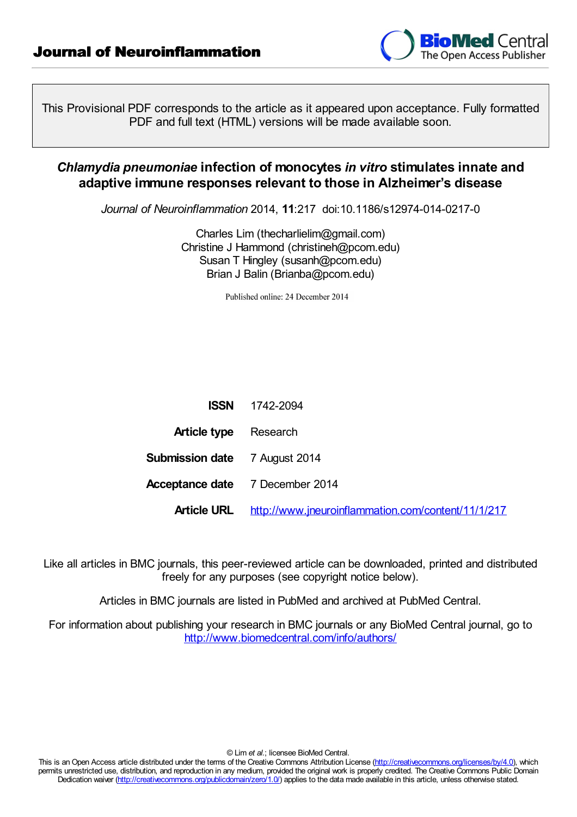

This Provisional PDF corresponds to the article as it appeared upon acceptance. Fully formatted PDF and full text (HTML) versions will be made available soon.

### *Chlamydia pneumoniae* **infection of monocytes** *in vitro* **stimulates innate and adaptive immune responses relevant to those in Alzheimer's disease**

*Journal of Neuroinflammation* 2014, **11**:217 doi:10.1186/s12974-014-0217-0

Charles Lim (thecharlielim@gmail.com) Christine J Hammond (christineh@pcom.edu) Susan T Hingley (susanh@pcom.edu) Brian J Balin (Brianba@pcom.edu)

Published online: 24 December 2014

| <b>ISSN</b>                            | 1742-2094                                          |  |
|----------------------------------------|----------------------------------------------------|--|
| <b>Article type</b> Research           |                                                    |  |
| <b>Submission date</b> 7 August 2014   |                                                    |  |
| <b>Acceptance date</b> 7 December 2014 |                                                    |  |
| <b>Article URL</b>                     | http://www.jneuroinflammation.com/content/11/1/217 |  |

Like all articles in BMC journals, this peer-reviewed article can be downloaded, printed and distributed freely for any purposes (see copyright notice below).

Articles in BMC journals are listed in PubMed and archived at PubMed Central.

For information about publishing your research in BMC journals or any BioMed Central journal, go to <http://www.biomedcentral.com/info/authors/>

© Lim *et al.*; licensee BioMed Central.

This is an Open Access article distributed under the terms of the Creative Commons Attribution License [\(http://creativecommons.org/licenses/by/4.0](http://creativecommons.org/licenses/by/4.0)), which permits unrestricted use, distribution, and reproduction in any medium, provided the original work is properly credited. The Creative Commons Public Domain Dedication waiver [\(http://creativecommons.org/publicdomain/zero/1.0/](http://creativecommons.org/publicdomain/zero/1.0/)) applies to the data made available in this article, unless otherwise stated.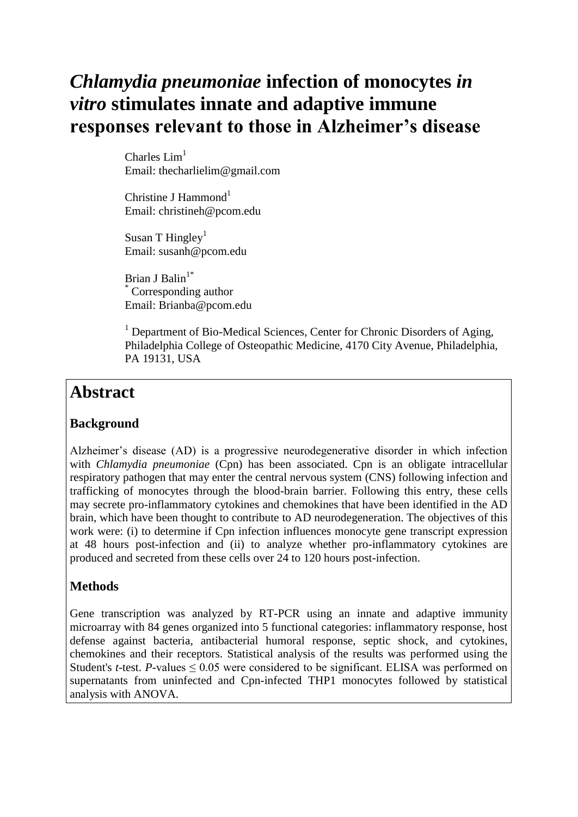# *Chlamydia pneumoniae* **infection of monocytes** *in vitro* **stimulates innate and adaptive immune responses relevant to those in Alzheimer's disease**

Charles  $Lim<sup>1</sup>$ Email: thecharlielim@gmail.com

Christine J Hammond<sup>1</sup> Email: christineh@pcom.edu

Susan T Hingley<sup>1</sup> Email: susanh@pcom.edu

Brian J Balin<sup>1\*</sup> Corresponding author Email: Brianba@pcom.edu

<sup>1</sup> Department of Bio-Medical Sciences, Center for Chronic Disorders of Aging, Philadelphia College of Osteopathic Medicine, 4170 City Avenue, Philadelphia, PA 19131, USA

### **Abstract**

#### **Background**

Alzheimer's disease (AD) is a progressive neurodegenerative disorder in which infection with *Chlamydia pneumoniae* (Cpn) has been associated. Cpn is an obligate intracellular respiratory pathogen that may enter the central nervous system (CNS) following infection and trafficking of monocytes through the blood-brain barrier. Following this entry, these cells may secrete pro-inflammatory cytokines and chemokines that have been identified in the AD brain, which have been thought to contribute to AD neurodegeneration. The objectives of this work were: (i) to determine if Cpn infection influences monocyte gene transcript expression at 48 hours post-infection and (ii) to analyze whether pro-inflammatory cytokines are produced and secreted from these cells over 24 to 120 hours post-infection.

#### **Methods**

Gene transcription was analyzed by RT-PCR using an innate and adaptive immunity microarray with 84 genes organized into 5 functional categories: inflammatory response, host defense against bacteria, antibacterial humoral response, septic shock, and cytokines, chemokines and their receptors. Statistical analysis of the results was performed using the Student's *t*-test. *P*-values  $\leq 0.05$  were considered to be significant. ELISA was performed on supernatants from uninfected and Cpn-infected THP1 monocytes followed by statistical analysis with ANOVA.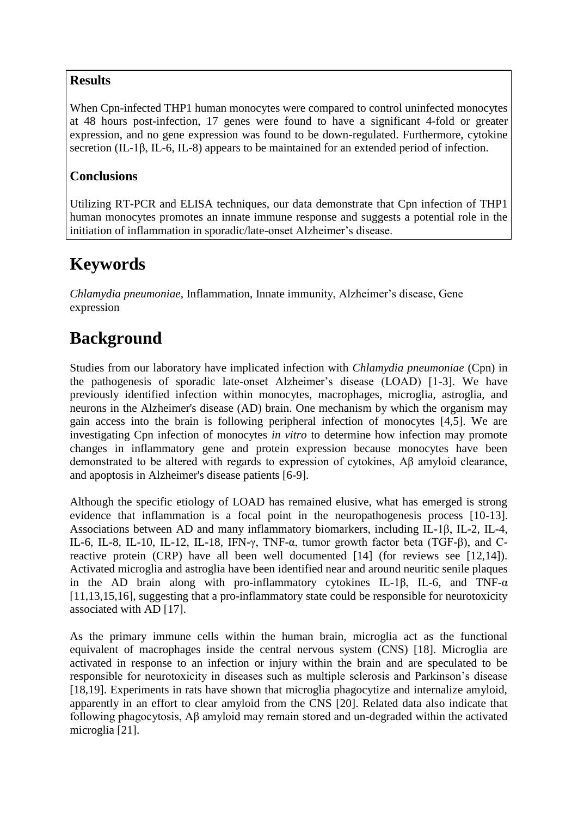#### **Results**

When Cpn-infected THP1 human monocytes were compared to control uninfected monocytes at 48 hours post-infection, 17 genes were found to have a significant 4-fold or greater expression, and no gene expression was found to be down-regulated. Furthermore, cytokine secretion (IL-1β, IL-6, IL-8) appears to be maintained for an extended period of infection.

### **Conclusions**

Utilizing RT-PCR and ELISA techniques, our data demonstrate that Cpn infection of THP1 human monocytes promotes an innate immune response and suggests a potential role in the initiation of inflammation in sporadic/late-onset Alzheimer's disease.

### **Keywords**

*Chlamydia pneumoniae*, Inflammation, Innate immunity, Alzheimer's disease, Gene expression

### **Background**

Studies from our laboratory have implicated infection with *Chlamydia pneumoniae* (Cpn) in the pathogenesis of sporadic late-onset Alzheimer's disease (LOAD) [1-3]. We have previously identified infection within monocytes, macrophages, microglia, astroglia, and neurons in the Alzheimer's disease (AD) brain. One mechanism by which the organism may gain access into the brain is following peripheral infection of monocytes [4,5]. We are investigating Cpn infection of monocytes *in vitro* to determine how infection may promote changes in inflammatory gene and protein expression because monocytes have been demonstrated to be altered with regards to expression of cytokines, Aβ amyloid clearance, and apoptosis in Alzheimer's disease patients [6-9].

Although the specific etiology of LOAD has remained elusive, what has emerged is strong evidence that inflammation is a focal point in the neuropathogenesis process [10-13]. Associations between AD and many inflammatory biomarkers, including IL-1β, IL-2, IL-4, IL-6, IL-8, IL-10, IL-12, IL-18, IFN-γ, TNF-α, tumor growth factor beta (TGF-β), and Creactive protein (CRP) have all been well documented [14] (for reviews see [12,14]). Activated microglia and astroglia have been identified near and around neuritic senile plaques in the AD brain along with pro-inflammatory cytokines IL-1β, IL-6, and TNF-α [11,13,15,16], suggesting that a pro-inflammatory state could be responsible for neurotoxicity associated with AD [17].

As the primary immune cells within the human brain, microglia act as the functional equivalent of macrophages inside the central nervous system (CNS) [18]. Microglia are activated in response to an infection or injury within the brain and are speculated to be responsible for neurotoxicity in diseases such as multiple sclerosis and Parkinson's disease [18,19]. Experiments in rats have shown that microglia phagocytize and internalize amyloid, apparently in an effort to clear amyloid from the CNS [20]. Related data also indicate that following phagocytosis, Aβ amyloid may remain stored and un-degraded within the activated microglia [21].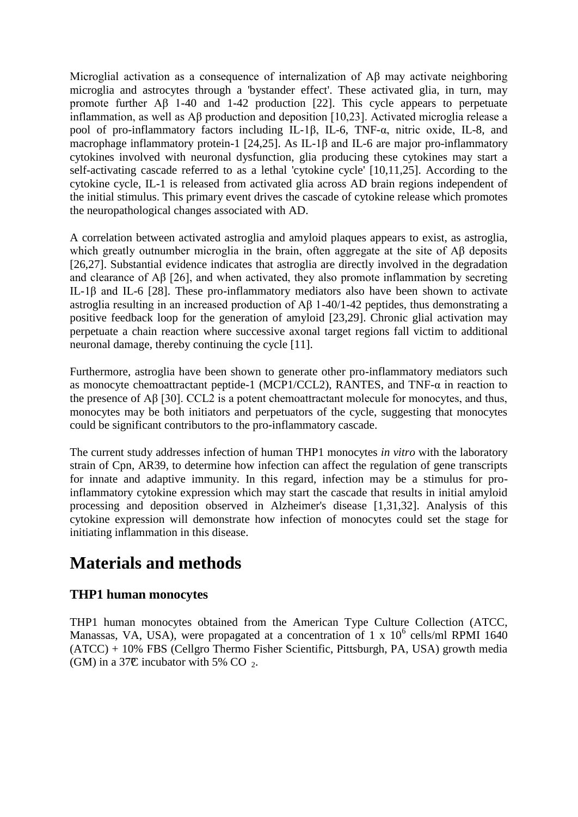Microglial activation as a consequence of internalization of Aβ may activate neighboring microglia and astrocytes through a 'bystander effect'. These activated glia, in turn, may promote further Aβ 1-40 and 1-42 production [22]. This cycle appears to perpetuate inflammation, as well as Aβ production and deposition [10,23]. Activated microglia release a pool of pro-inflammatory factors including IL-1β, IL-6, TNF-α, nitric oxide, IL-8, and macrophage inflammatory protein-1 [24,25]. As IL-1β and IL-6 are major pro-inflammatory cytokines involved with neuronal dysfunction, glia producing these cytokines may start a self-activating cascade referred to as a lethal 'cytokine cycle' [10,11,25]. According to the cytokine cycle, IL-1 is released from activated glia across AD brain regions independent of the initial stimulus. This primary event drives the cascade of cytokine release which promotes the neuropathological changes associated with AD.

A correlation between activated astroglia and amyloid plaques appears to exist, as astroglia, which greatly outnumber microglia in the brain, often aggregate at the site of Aβ deposits [26,27]. Substantial evidence indicates that astroglia are directly involved in the degradation and clearance of Aβ [26], and when activated, they also promote inflammation by secreting IL-1β and IL-6 [28]. These pro-inflammatory mediators also have been shown to activate astroglia resulting in an increased production of Aβ 1-40/1-42 peptides, thus demonstrating a positive feedback loop for the generation of amyloid [23,29]. Chronic glial activation may perpetuate a chain reaction where successive axonal target regions fall victim to additional neuronal damage, thereby continuing the cycle [11].

Furthermore, astroglia have been shown to generate other pro-inflammatory mediators such as monocyte chemoattractant peptide-1 (MCP1/CCL2), RANTES, and TNF-α in reaction to the presence of Aβ [30]. CCL2 is a potent chemoattractant molecule for monocytes, and thus, monocytes may be both initiators and perpetuators of the cycle, suggesting that monocytes could be significant contributors to the pro-inflammatory cascade.

The current study addresses infection of human THP1 monocytes *in vitro* with the laboratory strain of Cpn, AR39, to determine how infection can affect the regulation of gene transcripts for innate and adaptive immunity. In this regard, infection may be a stimulus for proinflammatory cytokine expression which may start the cascade that results in initial amyloid processing and deposition observed in Alzheimer's disease [1,31,32]. Analysis of this cytokine expression will demonstrate how infection of monocytes could set the stage for initiating inflammation in this disease.

### **Materials and methods**

#### **THP1 human monocytes**

THP1 human monocytes obtained from the American Type Culture Collection (ATCC, Manassas, VA, USA), were propagated at a concentration of 1 x  $10^6$  cells/ml RPMI 1640 (ATCC) + 10% FBS (Cellgro Thermo Fisher Scientific, Pittsburgh, PA, USA) growth media (GM) in a 37 $\mathbb{C}$  incubator with 5% CO  $_2$ .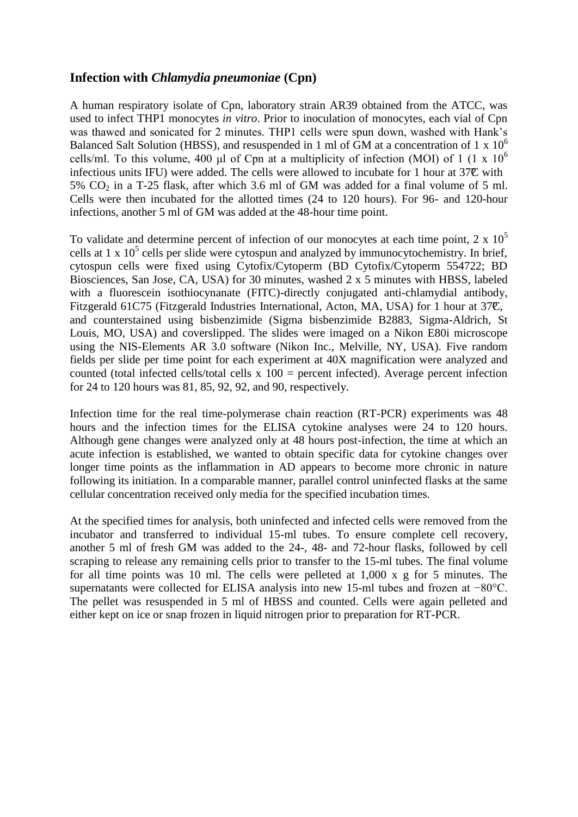#### **Infection with** *Chlamydia pneumoniae* **(Cpn)**

A human respiratory isolate of Cpn, laboratory strain AR39 obtained from the ATCC, was used to infect THP1 monocytes *in vitro*. Prior to inoculation of monocytes, each vial of Cpn was thawed and sonicated for 2 minutes. THP1 cells were spun down, washed with Hank's Balanced Salt Solution (HBSS), and resuspended in 1 ml of GM at a concentration of 1 x  $10^6$ cells/ml. To this volume, 400 μl of Cpn at a multiplicity of infection (MOI) of 1 (1 x  $10^6$ infectious units IFU) were added. The cells were allowed to incubate for 1 hour at  $37\mathbb{C}$  with 5%  $CO<sub>2</sub>$  in a T-25 flask, after which 3.6 ml of GM was added for a final volume of 5 ml. Cells were then incubated for the allotted times (24 to 120 hours). For 96- and 120-hour infections, another 5 ml of GM was added at the 48-hour time point.

To validate and determine percent of infection of our monocytes at each time point,  $2 \times 10^5$ cells at 1 x  $10^5$  cells per slide were cytospun and analyzed by immunocytochemistry. In brief, cytospun cells were fixed using Cytofix/Cytoperm (BD Cytofix/Cytoperm 554722; BD Biosciences, San Jose, CA, USA) for 30 minutes, washed 2 x 5 minutes with HBSS, labeled with a fluorescein isothiocynanate (FITC)-directly conjugated anti-chlamydial antibody, Fitzgerald 61C75 (Fitzgerald Industries International, Acton, MA, USA) for 1 hour at 37C, and counterstained using bisbenzimide (Sigma bisbenzimide B2883, Sigma-Aldrich, St Louis, MO, USA) and coverslipped. The slides were imaged on a Nikon E80i microscope using the NIS-Elements AR 3.0 software (Nikon Inc., Melville, NY, USA). Five random fields per slide per time point for each experiment at 40X magnification were analyzed and counted (total infected cells/total cells  $x 100$  = percent infected). Average percent infection for 24 to 120 hours was 81, 85, 92, 92, and 90, respectively.

Infection time for the real time-polymerase chain reaction (RT-PCR) experiments was 48 hours and the infection times for the ELISA cytokine analyses were 24 to 120 hours. Although gene changes were analyzed only at 48 hours post-infection, the time at which an acute infection is established, we wanted to obtain specific data for cytokine changes over longer time points as the inflammation in AD appears to become more chronic in nature following its initiation. In a comparable manner, parallel control uninfected flasks at the same cellular concentration received only media for the specified incubation times.

At the specified times for analysis, both uninfected and infected cells were removed from the incubator and transferred to individual 15-ml tubes. To ensure complete cell recovery, another 5 ml of fresh GM was added to the 24-, 48- and 72-hour flasks, followed by cell scraping to release any remaining cells prior to transfer to the 15-ml tubes. The final volume for all time points was 10 ml. The cells were pelleted at 1,000 x g for 5 minutes. The supernatants were collected for ELISA analysis into new 15-ml tubes and frozen at −80°C. The pellet was resuspended in 5 ml of HBSS and counted. Cells were again pelleted and either kept on ice or snap frozen in liquid nitrogen prior to preparation for RT-PCR.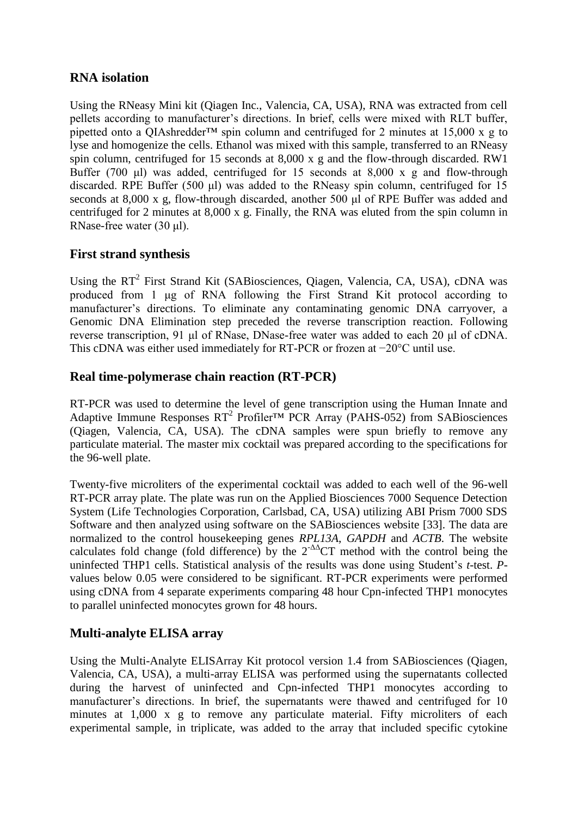#### **RNA isolation**

Using the RNeasy Mini kit (Qiagen Inc., Valencia, CA, USA), RNA was extracted from cell pellets according to manufacturer's directions. In brief, cells were mixed with RLT buffer, pipetted onto a QIAshredder<sup>™</sup> spin column and centrifuged for 2 minutes at 15,000 x g to lyse and homogenize the cells. Ethanol was mixed with this sample, transferred to an RNeasy spin column, centrifuged for 15 seconds at 8,000 x g and the flow-through discarded. RW1 Buffer (700 μl) was added, centrifuged for 15 seconds at 8,000 x g and flow-through discarded. RPE Buffer (500 μl) was added to the RNeasy spin column, centrifuged for 15 seconds at 8,000 x g, flow-through discarded, another 500 μl of RPE Buffer was added and centrifuged for 2 minutes at 8,000 x g. Finally, the RNA was eluted from the spin column in RNase-free water (30 μl).

#### **First strand synthesis**

Using the RT<sup>2</sup> First Strand Kit (SABiosciences, Qiagen, Valencia, CA, USA), cDNA was produced from 1 μg of RNA following the First Strand Kit protocol according to manufacturer's directions. To eliminate any contaminating genomic DNA carryover, a Genomic DNA Elimination step preceded the reverse transcription reaction. Following reverse transcription, 91 μl of RNase, DNase-free water was added to each 20 μl of cDNA. This cDNA was either used immediately for RT-PCR or frozen at −20°C until use.

#### **Real time-polymerase chain reaction (RT-PCR)**

RT-PCR was used to determine the level of gene transcription using the Human Innate and Adaptive Immune Responses  $RT^2$  Profiler<sup>TM</sup> PCR Array (PAHS-052) from SABiosciences (Qiagen, Valencia, CA, USA). The cDNA samples were spun briefly to remove any particulate material. The master mix cocktail was prepared according to the specifications for the 96-well plate.

Twenty-five microliters of the experimental cocktail was added to each well of the 96-well RT-PCR array plate. The plate was run on the Applied Biosciences 7000 Sequence Detection System (Life Technologies Corporation, Carlsbad, CA, USA) utilizing ABI Prism 7000 SDS Software and then analyzed using software on the SABiosciences website [33]. The data are normalized to the control housekeeping genes *RPL13A*, *GAPDH* and *ACTB*. The website calculates fold change (fold difference) by the  $2^{-\Delta}$ CT method with the control being the uninfected THP1 cells. Statistical analysis of the results was done using Student's *t*-test. *P*values below 0.05 were considered to be significant. RT-PCR experiments were performed using cDNA from 4 separate experiments comparing 48 hour Cpn-infected THP1 monocytes to parallel uninfected monocytes grown for 48 hours.

### **Multi-analyte ELISA array**

Using the Multi-Analyte ELISArray Kit protocol version 1.4 from SABiosciences (Qiagen, Valencia, CA, USA), a multi-array ELISA was performed using the supernatants collected during the harvest of uninfected and Cpn-infected THP1 monocytes according to manufacturer's directions. In brief, the supernatants were thawed and centrifuged for 10 minutes at 1,000 x g to remove any particulate material. Fifty microliters of each experimental sample, in triplicate, was added to the array that included specific cytokine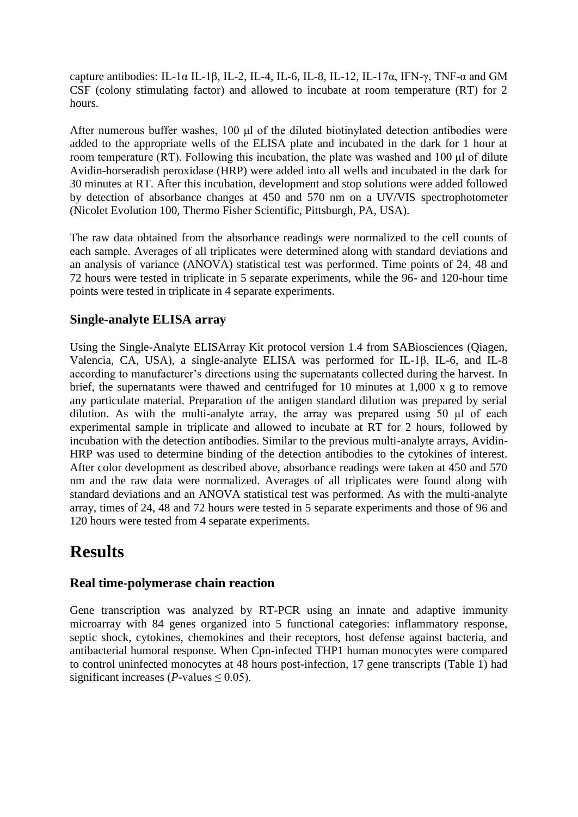capture antibodies: IL-1 $\alpha$  IL-1 $\beta$ , IL-2, IL-4, IL-6, IL-8, IL-12, IL-17 $\alpha$ , IFN- $\gamma$ , TNF- $\alpha$  and GM CSF (colony stimulating factor) and allowed to incubate at room temperature (RT) for 2 hours.

After numerous buffer washes, 100 μl of the diluted biotinylated detection antibodies were added to the appropriate wells of the ELISA plate and incubated in the dark for 1 hour at room temperature (RT). Following this incubation, the plate was washed and 100 μl of dilute Avidin-horseradish peroxidase (HRP) were added into all wells and incubated in the dark for 30 minutes at RT. After this incubation, development and stop solutions were added followed by detection of absorbance changes at 450 and 570 nm on a UV/VIS spectrophotometer (Nicolet Evolution 100, Thermo Fisher Scientific, Pittsburgh, PA, USA).

The raw data obtained from the absorbance readings were normalized to the cell counts of each sample. Averages of all triplicates were determined along with standard deviations and an analysis of variance (ANOVA) statistical test was performed. Time points of 24, 48 and 72 hours were tested in triplicate in 5 separate experiments, while the 96- and 120-hour time points were tested in triplicate in 4 separate experiments.

#### **Single-analyte ELISA array**

Using the Single-Analyte ELISArray Kit protocol version 1.4 from SABiosciences (Qiagen, Valencia, CA, USA), a single-analyte ELISA was performed for IL-1β, IL-6, and IL-8 according to manufacturer's directions using the supernatants collected during the harvest. In brief, the supernatants were thawed and centrifuged for 10 minutes at 1,000 x g to remove any particulate material. Preparation of the antigen standard dilution was prepared by serial dilution. As with the multi-analyte array, the array was prepared using 50 μl of each experimental sample in triplicate and allowed to incubate at RT for 2 hours, followed by incubation with the detection antibodies. Similar to the previous multi-analyte arrays, Avidin-HRP was used to determine binding of the detection antibodies to the cytokines of interest. After color development as described above, absorbance readings were taken at 450 and 570 nm and the raw data were normalized. Averages of all triplicates were found along with standard deviations and an ANOVA statistical test was performed. As with the multi-analyte array, times of 24, 48 and 72 hours were tested in 5 separate experiments and those of 96 and 120 hours were tested from 4 separate experiments.

### **Results**

#### **Real time-polymerase chain reaction**

Gene transcription was analyzed by RT-PCR using an innate and adaptive immunity microarray with 84 genes organized into 5 functional categories: inflammatory response, septic shock, cytokines, chemokines and their receptors, host defense against bacteria, and antibacterial humoral response. When Cpn-infected THP1 human monocytes were compared to control uninfected monocytes at 48 hours post-infection, 17 gene transcripts (Table 1) had significant increases (*P*-values  $\leq$  0.05).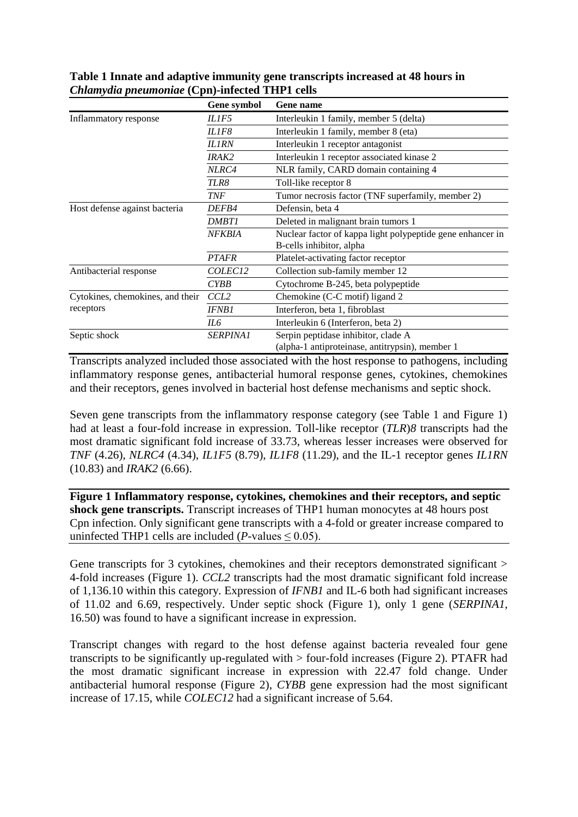|                                               | Gene symbol         | <b>Gene name</b>                                                                       |
|-----------------------------------------------|---------------------|----------------------------------------------------------------------------------------|
| Inflammatory response                         | IL1F5               | Interleukin 1 family, member 5 (delta)                                                 |
|                                               | IL1F8               | Interleukin 1 family, member 8 (eta)                                                   |
|                                               | <b>IL1RN</b>        | Interleukin 1 receptor antagonist                                                      |
|                                               | <i>IRAK2</i>        | Interleukin 1 receptor associated kinase 2                                             |
|                                               | NLRC4               | NLR family, CARD domain containing 4                                                   |
|                                               | TLR8                | Toll-like receptor 8                                                                   |
|                                               | <b>TNF</b>          | Tumor necrosis factor (TNF superfamily, member 2)                                      |
| Host defense against bacteria                 | <i>DEFB4</i>        | Defensin, beta 4                                                                       |
|                                               | <i>DMBT1</i>        | Deleted in malignant brain tumors 1                                                    |
|                                               | <b>NFKBIA</b>       | Nuclear factor of kappa light polypeptide gene enhancer in<br>B-cells inhibitor, alpha |
|                                               | <b>PTAFR</b>        | Platelet-activating factor receptor                                                    |
| Antibacterial response                        | COLEC <sub>12</sub> | Collection sub-family member 12                                                        |
|                                               | <i>CYBB</i>         | Cytochrome B-245, beta polypeptide                                                     |
| Cytokines, chemokines, and their<br>receptors | CCL <sub>2</sub>    | Chemokine (C-C motif) ligand 2                                                         |
|                                               | <i>IFNB1</i>        | Interferon, beta 1, fibroblast                                                         |
|                                               | IL6                 | Interleukin 6 (Interferon, beta 2)                                                     |
| Septic shock                                  | <b>SERPINA1</b>     | Serpin peptidase inhibitor, clade A<br>(alpha-1 antiproteinase, antitrypsin), member 1 |

**Table 1 Innate and adaptive immunity gene transcripts increased at 48 hours in** *Chlamydia pneumoniae* **(Cpn)-infected THP1 cells**

Transcripts analyzed included those associated with the host response to pathogens, including inflammatory response genes, antibacterial humoral response genes, cytokines, chemokines and their receptors, genes involved in bacterial host defense mechanisms and septic shock.

Seven gene transcripts from the inflammatory response category (see Table 1 and Figure 1) had at least a four-fold increase in expression. Toll-like receptor (*TLR*)*8* transcripts had the most dramatic significant fold increase of 33.73, whereas lesser increases were observed for *TNF* (4.26), *NLRC4* (4.34), *IL1F5* (8.79), *IL1F8* (11.29), and the IL-1 receptor genes *IL1RN* (10.83) and *IRAK2* (6.66).

**Figure 1 Inflammatory response, cytokines, chemokines and their receptors, and septic shock gene transcripts.** Transcript increases of THP1 human monocytes at 48 hours post Cpn infection. Only significant gene transcripts with a 4-fold or greater increase compared to uninfected THP1 cells are included  $(P$ -values  $\leq 0.05$ ).

Gene transcripts for 3 cytokines, chemokines and their receptors demonstrated significant > 4-fold increases (Figure 1). *CCL2* transcripts had the most dramatic significant fold increase of 1,136.10 within this category. Expression of *IFNB1* and IL-6 both had significant increases of 11.02 and 6.69, respectively. Under septic shock (Figure 1), only 1 gene (*SERPINA1*, 16.50) was found to have a significant increase in expression.

Transcript changes with regard to the host defense against bacteria revealed four gene transcripts to be significantly up-regulated with > four-fold increases (Figure 2). PTAFR had the most dramatic significant increase in expression with 22.47 fold change. Under antibacterial humoral response (Figure 2), *CYBB* gene expression had the most significant increase of 17.15, while *COLEC12* had a significant increase of 5.64.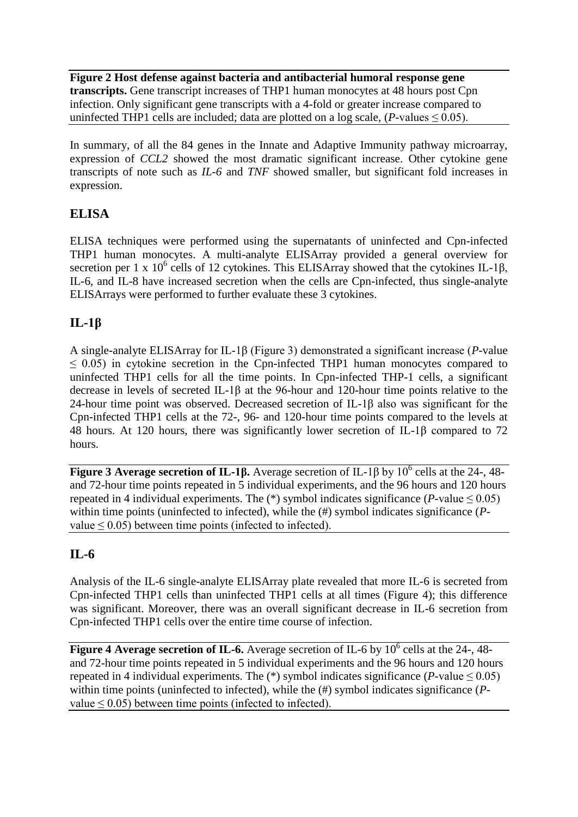**Figure 2 Host defense against bacteria and antibacterial humoral response gene transcripts.** Gene transcript increases of THP1 human monocytes at 48 hours post Cpn infection. Only significant gene transcripts with a 4-fold or greater increase compared to uninfected THP1 cells are included; data are plotted on a log scale,  $(P$ -values  $\leq 0.05$ ).

In summary, of all the 84 genes in the Innate and Adaptive Immunity pathway microarray, expression of *CCL2* showed the most dramatic significant increase. Other cytokine gene transcripts of note such as *IL-6* and *TNF* showed smaller, but significant fold increases in expression.

#### **ELISA**

ELISA techniques were performed using the supernatants of uninfected and Cpn-infected THP1 human monocytes. A multi-analyte ELISArray provided a general overview for secretion per 1 x  $10^6$  cells of 12 cytokines. This ELISArray showed that the cytokines IL-1 $\beta$ , IL-6, and IL-8 have increased secretion when the cells are Cpn-infected, thus single-analyte ELISArrays were performed to further evaluate these 3 cytokines.

### **IL-1β**

A single-analyte ELISArray for IL-1β (Figure 3) demonstrated a significant increase (*P*-value  $\leq$  0.05) in cytokine secretion in the Cpn-infected THP1 human monocytes compared to uninfected THP1 cells for all the time points. In Cpn-infected THP-1 cells, a significant decrease in levels of secreted IL-1β at the 96-hour and 120-hour time points relative to the 24-hour time point was observed. Decreased secretion of IL-1β also was significant for the Cpn-infected THP1 cells at the 72-, 96- and 120-hour time points compared to the levels at 48 hours. At 120 hours, there was significantly lower secretion of IL-1β compared to 72 hours.

**Figure 3 Average secretion of IL-1β.** Average secretion of IL-1β by  $10^6$  cells at the 24-, 48and 72-hour time points repeated in 5 individual experiments, and the 96 hours and 120 hours repeated in 4 individual experiments. The  $(*)$  symbol indicates significance (*P*-value  $\leq 0.05$ ) within time points (uninfected to infected), while the (#) symbol indicates significance (*P*value  $\leq$  0.05) between time points (infected to infected).

### **IL-6**

Analysis of the IL-6 single-analyte ELISArray plate revealed that more IL-6 is secreted from Cpn-infected THP1 cells than uninfected THP1 cells at all times (Figure 4); this difference was significant. Moreover, there was an overall significant decrease in IL-6 secretion from Cpn-infected THP1 cells over the entire time course of infection.

**Figure 4 Average secretion of IL-6.** Average secretion of IL-6 by 10<sup>6</sup> cells at the 24-, 48and 72-hour time points repeated in 5 individual experiments and the 96 hours and 120 hours repeated in 4 individual experiments. The  $(*)$  symbol indicates significance (*P*-value  $\leq 0.05$ ) within time points (uninfected to infected), while the (#) symbol indicates significance (*P*value  $\leq$  0.05) between time points (infected to infected).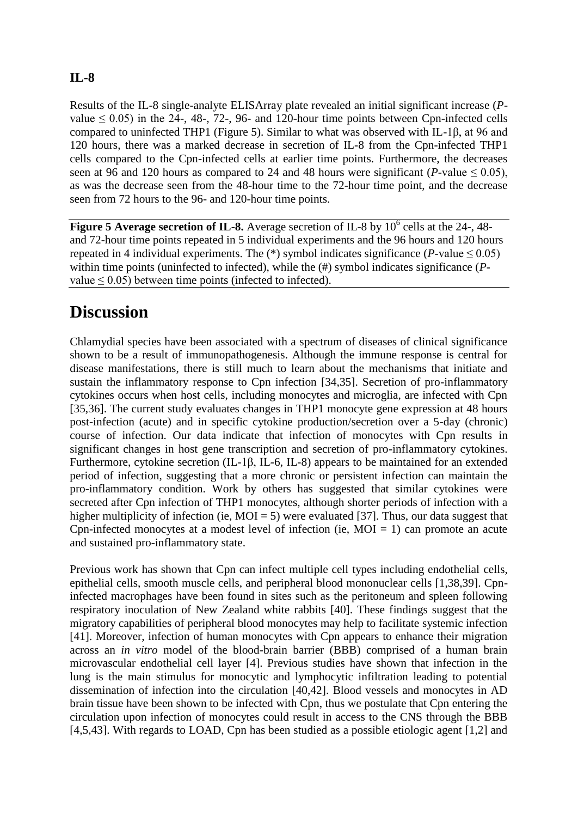#### **IL-8**

Results of the IL-8 single-analyte ELISArray plate revealed an initial significant increase (*P*value  $\leq$  0.05) in the 24-, 48-, 72-, 96- and 120-hour time points between Cpn-infected cells compared to uninfected THP1 (Figure 5). Similar to what was observed with IL-1β, at 96 and 120 hours, there was a marked decrease in secretion of IL-8 from the Cpn-infected THP1 cells compared to the Cpn-infected cells at earlier time points. Furthermore, the decreases seen at 96 and 120 hours as compared to 24 and 48 hours were significant (*P*-value  $\leq$  0.05), as was the decrease seen from the 48-hour time to the 72-hour time point, and the decrease seen from 72 hours to the 96- and 120-hour time points.

**Figure 5 Average secretion of IL-8.** Average secretion of IL-8 by 10<sup>6</sup> cells at the 24-, 48and 72-hour time points repeated in 5 individual experiments and the 96 hours and 120 hours repeated in 4 individual experiments. The  $(*)$  symbol indicates significance (*P*-value  $\leq 0.05$ ) within time points (uninfected to infected), while the (#) symbol indicates significance (*P*value  $\leq$  0.05) between time points (infected to infected).

### **Discussion**

Chlamydial species have been associated with a spectrum of diseases of clinical significance shown to be a result of immunopathogenesis. Although the immune response is central for disease manifestations, there is still much to learn about the mechanisms that initiate and sustain the inflammatory response to Cpn infection [34,35]. Secretion of pro-inflammatory cytokines occurs when host cells, including monocytes and microglia, are infected with Cpn [35,36]. The current study evaluates changes in THP1 monocyte gene expression at 48 hours post-infection (acute) and in specific cytokine production/secretion over a 5-day (chronic) course of infection. Our data indicate that infection of monocytes with Cpn results in significant changes in host gene transcription and secretion of pro-inflammatory cytokines. Furthermore, cytokine secretion (IL-1β, IL-6, IL-8) appears to be maintained for an extended period of infection, suggesting that a more chronic or persistent infection can maintain the pro-inflammatory condition. Work by others has suggested that similar cytokines were secreted after Cpn infection of THP1 monocytes, although shorter periods of infection with a higher multiplicity of infection (ie,  $MOI = 5$ ) were evaluated [37]. Thus, our data suggest that Cpn-infected monocytes at a modest level of infection (ie,  $MOI = 1$ ) can promote an acute and sustained pro-inflammatory state.

Previous work has shown that Cpn can infect multiple cell types including endothelial cells, epithelial cells, smooth muscle cells, and peripheral blood mononuclear cells [1,38,39]. Cpninfected macrophages have been found in sites such as the peritoneum and spleen following respiratory inoculation of New Zealand white rabbits [40]. These findings suggest that the migratory capabilities of peripheral blood monocytes may help to facilitate systemic infection [41]. Moreover, infection of human monocytes with Cpn appears to enhance their migration across an *in vitro* model of the blood-brain barrier (BBB) comprised of a human brain microvascular endothelial cell layer [4]. Previous studies have shown that infection in the lung is the main stimulus for monocytic and lymphocytic infiltration leading to potential dissemination of infection into the circulation [40,42]. Blood vessels and monocytes in AD brain tissue have been shown to be infected with Cpn, thus we postulate that Cpn entering the circulation upon infection of monocytes could result in access to the CNS through the BBB [4,5,43]. With regards to LOAD, Cpn has been studied as a possible etiologic agent [1,2] and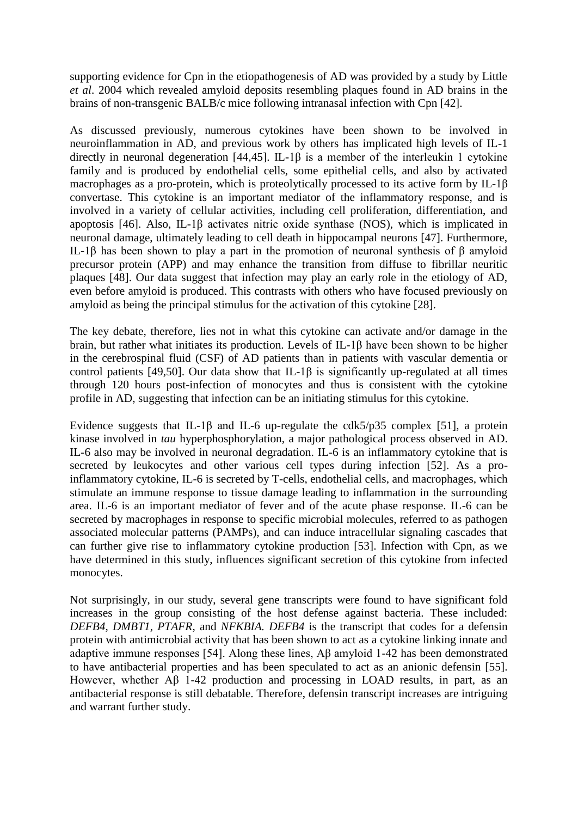supporting evidence for Cpn in the etiopathogenesis of AD was provided by a study by Little *et al*. 2004 which revealed amyloid deposits resembling plaques found in AD brains in the brains of non-transgenic BALB/c mice following intranasal infection with Cpn [42].

As discussed previously, numerous cytokines have been shown to be involved in neuroinflammation in AD, and previous work by others has implicated high levels of IL-1 directly in neuronal degeneration [44,45]. IL-1β is a member of the interleukin 1 cytokine family and is produced by endothelial cells, some epithelial cells, and also by activated macrophages as a pro-protein, which is proteolytically processed to its active form by IL-1β convertase. This cytokine is an important mediator of the inflammatory response, and is involved in a variety of cellular activities, including cell proliferation, differentiation, and apoptosis [46]. Also, IL-1 $\beta$  activates nitric oxide synthase (NOS), which is implicated in neuronal damage, ultimately leading to cell death in hippocampal neurons [47]. Furthermore, IL-1β has been shown to play a part in the promotion of neuronal synthesis of β amyloid precursor protein (APP) and may enhance the transition from diffuse to fibrillar neuritic plaques [48]. Our data suggest that infection may play an early role in the etiology of AD, even before amyloid is produced. This contrasts with others who have focused previously on amyloid as being the principal stimulus for the activation of this cytokine [28].

The key debate, therefore, lies not in what this cytokine can activate and/or damage in the brain, but rather what initiates its production. Levels of IL-1β have been shown to be higher in the cerebrospinal fluid (CSF) of AD patients than in patients with vascular dementia or control patients [49,50]. Our data show that IL-1 $\beta$  is significantly up-regulated at all times through 120 hours post-infection of monocytes and thus is consistent with the cytokine profile in AD, suggesting that infection can be an initiating stimulus for this cytokine.

Evidence suggests that IL-1 $\beta$  and IL-6 up-regulate the cdk5/p35 complex [51], a protein kinase involved in *tau* hyperphosphorylation, a major pathological process observed in AD. IL-6 also may be involved in neuronal degradation. IL-6 is an inflammatory cytokine that is secreted by leukocytes and other various cell types during infection [52]. As a proinflammatory cytokine, IL-6 is secreted by T-cells, endothelial cells, and macrophages, which stimulate an immune response to tissue damage leading to inflammation in the surrounding area. IL-6 is an important mediator of fever and of the acute phase response. IL-6 can be secreted by macrophages in response to specific microbial molecules, referred to as pathogen associated molecular patterns (PAMPs), and can induce intracellular signaling cascades that can further give rise to inflammatory cytokine production [53]. Infection with Cpn, as we have determined in this study, influences significant secretion of this cytokine from infected monocytes.

Not surprisingly, in our study, several gene transcripts were found to have significant fold increases in the group consisting of the host defense against bacteria. These included: *DEFB4*, *DMBT1*, *PTAFR*, and *NFKBIA. DEFB4* is the transcript that codes for a defensin protein with antimicrobial activity that has been shown to act as a cytokine linking innate and adaptive immune responses [54]. Along these lines, Aβ amyloid 1-42 has been demonstrated to have antibacterial properties and has been speculated to act as an anionic defensin [55]. However, whether Aβ 1-42 production and processing in LOAD results, in part, as an antibacterial response is still debatable. Therefore, defensin transcript increases are intriguing and warrant further study.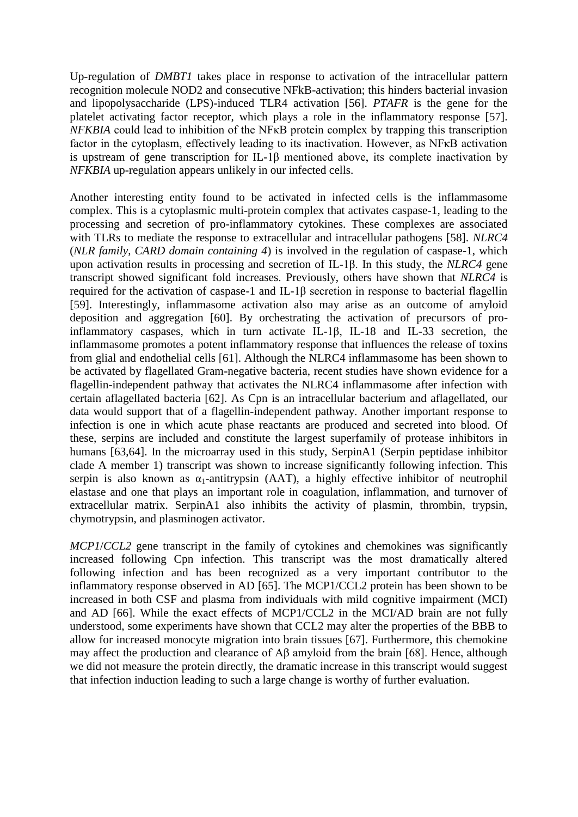Up-regulation of *DMBT1* takes place in response to activation of the intracellular pattern recognition molecule NOD2 and consecutive NFkB-activation; this hinders bacterial invasion and lipopolysaccharide (LPS)-induced TLR4 activation [56]. *PTAFR* is the gene for the platelet activating factor receptor, which plays a role in the inflammatory response [57]. *NFKBIA* could lead to inhibition of the NF<sub>K</sub>B protein complex by trapping this transcription factor in the cytoplasm, effectively leading to its inactivation. However, as NFκB activation is upstream of gene transcription for IL-1β mentioned above, its complete inactivation by *NFKBIA* up-regulation appears unlikely in our infected cells.

Another interesting entity found to be activated in infected cells is the inflammasome complex. This is a cytoplasmic multi-protein complex that activates caspase-1, leading to the processing and secretion of pro-inflammatory cytokines. These complexes are associated with TLRs to mediate the response to extracellular and intracellular pathogens [58]. *NLRC4* (*NLR family*, *CARD domain containing 4*) is involved in the regulation of caspase-1, which upon activation results in processing and secretion of IL-1β. In this study, the *NLRC4* gene transcript showed significant fold increases. Previously, others have shown that *NLRC4* is required for the activation of caspase-1 and IL-1β secretion in response to bacterial flagellin [59]. Interestingly, inflammasome activation also may arise as an outcome of amyloid deposition and aggregation [60]. By orchestrating the activation of precursors of proinflammatory caspases, which in turn activate IL-1β, IL-18 and IL-33 secretion, the inflammasome promotes a potent inflammatory response that influences the release of toxins from glial and endothelial cells [61]. Although the NLRC4 inflammasome has been shown to be activated by flagellated Gram-negative bacteria, recent studies have shown evidence for a flagellin-independent pathway that activates the NLRC4 inflammasome after infection with certain aflagellated bacteria [62]. As Cpn is an intracellular bacterium and aflagellated, our data would support that of a flagellin-independent pathway. Another important response to infection is one in which acute phase reactants are produced and secreted into blood. Of these, serpins are included and constitute the largest superfamily of protease inhibitors in humans [63,64]. In the microarray used in this study, SerpinA1 (Serpin peptidase inhibitor clade A member 1) transcript was shown to increase significantly following infection. This serpin is also known as  $\alpha_1$ -antitrypsin (AAT), a highly effective inhibitor of neutrophil elastase and one that plays an important role in coagulation, inflammation, and turnover of extracellular matrix. SerpinA1 also inhibits the activity of plasmin, thrombin, trypsin, chymotrypsin, and plasminogen activator.

*MCP1*/*CCL2* gene transcript in the family of cytokines and chemokines was significantly increased following Cpn infection. This transcript was the most dramatically altered following infection and has been recognized as a very important contributor to the inflammatory response observed in AD [65]. The MCP1/CCL2 protein has been shown to be increased in both CSF and plasma from individuals with mild cognitive impairment (MCI) and AD [66]. While the exact effects of MCP1/CCL2 in the MCI/AD brain are not fully understood, some experiments have shown that CCL2 may alter the properties of the BBB to allow for increased monocyte migration into brain tissues [67]. Furthermore, this chemokine may affect the production and clearance of Aβ amyloid from the brain [68]. Hence, although we did not measure the protein directly, the dramatic increase in this transcript would suggest that infection induction leading to such a large change is worthy of further evaluation.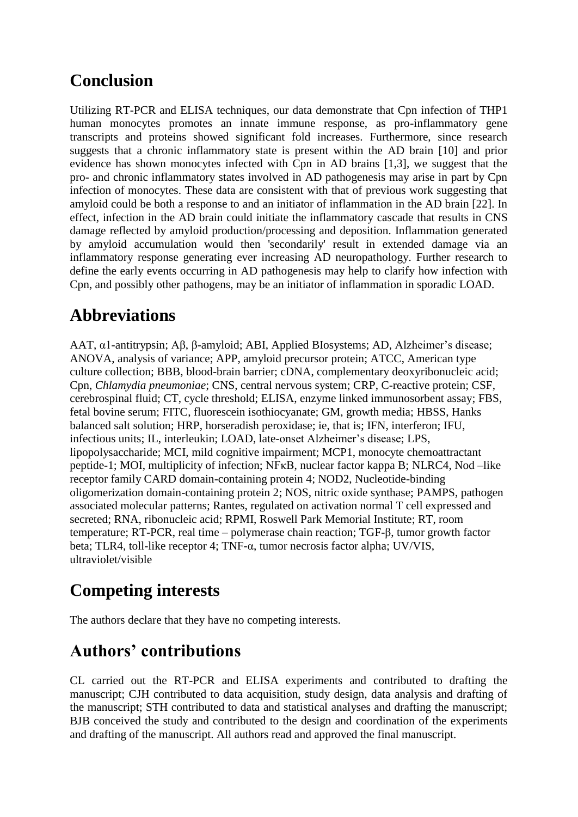### **Conclusion**

Utilizing RT-PCR and ELISA techniques, our data demonstrate that Cpn infection of THP1 human monocytes promotes an innate immune response, as pro-inflammatory gene transcripts and proteins showed significant fold increases. Furthermore, since research suggests that a chronic inflammatory state is present within the AD brain [10] and prior evidence has shown monocytes infected with Cpn in AD brains [1,3], we suggest that the pro- and chronic inflammatory states involved in AD pathogenesis may arise in part by Cpn infection of monocytes. These data are consistent with that of previous work suggesting that amyloid could be both a response to and an initiator of inflammation in the AD brain [22]. In effect, infection in the AD brain could initiate the inflammatory cascade that results in CNS damage reflected by amyloid production/processing and deposition. Inflammation generated by amyloid accumulation would then 'secondarily' result in extended damage via an inflammatory response generating ever increasing AD neuropathology. Further research to define the early events occurring in AD pathogenesis may help to clarify how infection with Cpn, and possibly other pathogens, may be an initiator of inflammation in sporadic LOAD.

## **Abbreviations**

AAT, α1-antitrypsin; Aβ, β-amyloid; ABI, Applied BIosystems; AD, Alzheimer's disease; ANOVA, analysis of variance; APP, amyloid precursor protein; ATCC, American type culture collection; BBB, blood-brain barrier; cDNA, complementary deoxyribonucleic acid; Cpn, *Chlamydia pneumoniae*; CNS, central nervous system; CRP, C-reactive protein; CSF, cerebrospinal fluid; CT, cycle threshold; ELISA, enzyme linked immunosorbent assay; FBS, fetal bovine serum; FITC, fluorescein isothiocyanate; GM, growth media; HBSS, Hanks balanced salt solution; HRP, horseradish peroxidase; ie, that is; IFN, interferon; IFU, infectious units; IL, interleukin; LOAD, late-onset Alzheimer's disease; LPS, lipopolysaccharide; MCI, mild cognitive impairment; MCP1, monocyte chemoattractant peptide-1; MOI, multiplicity of infection; NFκB, nuclear factor kappa B; NLRC4, Nod –like receptor family CARD domain-containing protein 4; NOD2, Nucleotide-binding oligomerization domain-containing protein 2; NOS, nitric oxide synthase; PAMPS, pathogen associated molecular patterns; Rantes, regulated on activation normal T cell expressed and secreted; RNA, ribonucleic acid; RPMI, Roswell Park Memorial Institute; RT, room temperature; RT-PCR, real time – polymerase chain reaction; TGF-β, tumor growth factor beta; TLR4, toll-like receptor 4; TNF-α, tumor necrosis factor alpha; UV/VIS, ultraviolet/visible

## **Competing interests**

The authors declare that they have no competing interests.

### **Authors' contributions**

CL carried out the RT-PCR and ELISA experiments and contributed to drafting the manuscript; CJH contributed to data acquisition, study design, data analysis and drafting of the manuscript; STH contributed to data and statistical analyses and drafting the manuscript; BJB conceived the study and contributed to the design and coordination of the experiments and drafting of the manuscript. All authors read and approved the final manuscript.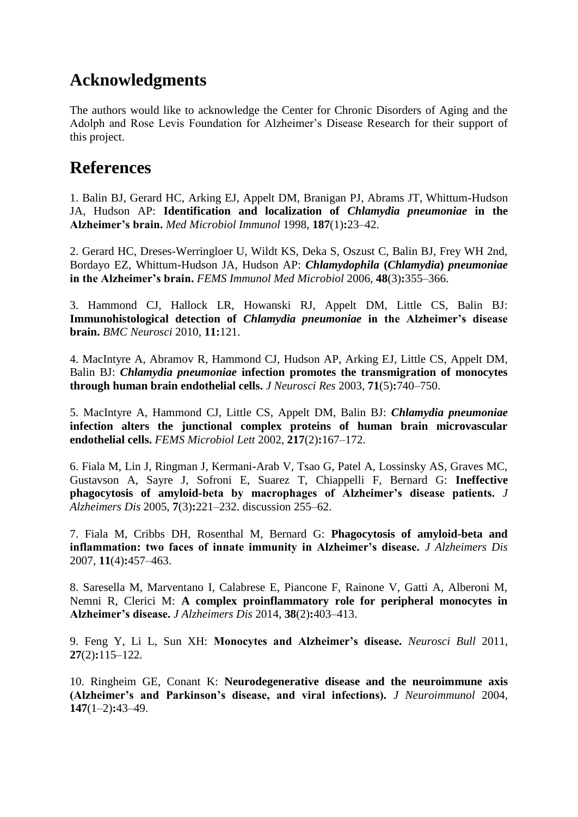### **Acknowledgments**

The authors would like to acknowledge the Center for Chronic Disorders of Aging and the Adolph and Rose Levis Foundation for Alzheimer's Disease Research for their support of this project.

### **References**

1. Balin BJ, Gerard HC, Arking EJ, Appelt DM, Branigan PJ, Abrams JT, Whittum-Hudson JA, Hudson AP: **Identification and localization of** *Chlamydia pneumoniae* **in the Alzheimer's brain.** *Med Microbiol Immunol* 1998, **187**(1)**:**23–42.

2. Gerard HC, Dreses-Werringloer U, Wildt KS, Deka S, Oszust C, Balin BJ, Frey WH 2nd, Bordayo EZ, Whittum-Hudson JA, Hudson AP: *Chlamydophila* **(***Chlamydia***)** *pneumoniae* **in the Alzheimer's brain.** *FEMS Immunol Med Microbiol* 2006, **48**(3)**:**355–366.

3. Hammond CJ, Hallock LR, Howanski RJ, Appelt DM, Little CS, Balin BJ: **Immunohistological detection of** *Chlamydia pneumoniae* **in the Alzheimer's disease brain.** *BMC Neurosci* 2010, **11:**121.

4. MacIntyre A, Abramov R, Hammond CJ, Hudson AP, Arking EJ, Little CS, Appelt DM, Balin BJ: *Chlamydia pneumoniae* **infection promotes the transmigration of monocytes through human brain endothelial cells.** *J Neurosci Res* 2003, **71**(5)**:**740–750.

5. MacIntyre A, Hammond CJ, Little CS, Appelt DM, Balin BJ: *Chlamydia pneumoniae* **infection alters the junctional complex proteins of human brain microvascular endothelial cells.** *FEMS Microbiol Lett* 2002, **217**(2)**:**167–172.

6. Fiala M, Lin J, Ringman J, Kermani-Arab V, Tsao G, Patel A, Lossinsky AS, Graves MC, Gustavson A, Sayre J, Sofroni E, Suarez T, Chiappelli F, Bernard G: **Ineffective phagocytosis of amyloid-beta by macrophages of Alzheimer's disease patients.** *J Alzheimers Dis* 2005, **7**(3)**:**221–232. discussion 255–62.

7. Fiala M, Cribbs DH, Rosenthal M, Bernard G: **Phagocytosis of amyloid-beta and inflammation: two faces of innate immunity in Alzheimer's disease.** *J Alzheimers Dis* 2007, **11**(4)**:**457–463.

8. Saresella M, Marventano I, Calabrese E, Piancone F, Rainone V, Gatti A, Alberoni M, Nemni R, Clerici M: **A complex proinflammatory role for peripheral monocytes in Alzheimer's disease.** *J Alzheimers Dis* 2014, **38**(2)**:**403–413.

9. Feng Y, Li L, Sun XH: **Monocytes and Alzheimer's disease.** *Neurosci Bull* 2011, **27**(2)**:**115–122.

10. Ringheim GE, Conant K: **Neurodegenerative disease and the neuroimmune axis (Alzheimer's and Parkinson's disease, and viral infections).** *J Neuroimmunol* 2004, **147**(1–2)**:**43–49.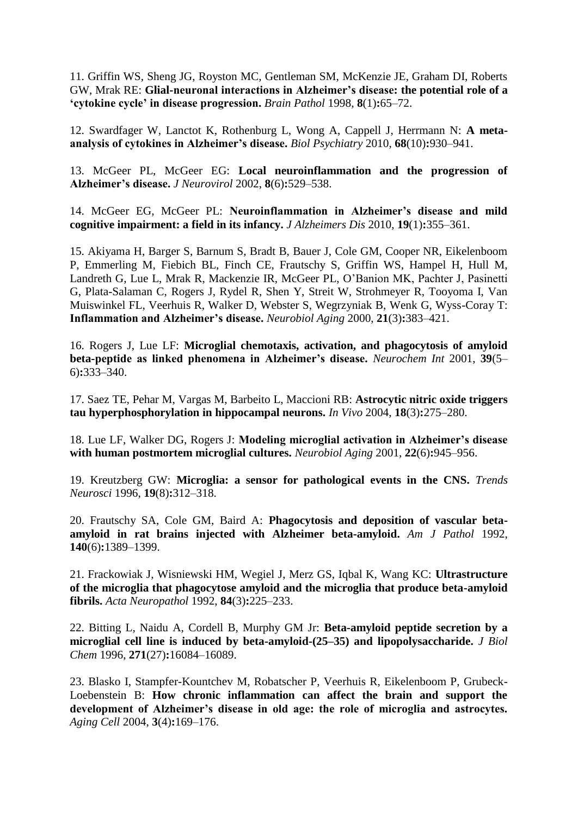11. Griffin WS, Sheng JG, Royston MC, Gentleman SM, McKenzie JE, Graham DI, Roberts GW, Mrak RE: **Glial-neuronal interactions in Alzheimer's disease: the potential role of a 'cytokine cycle' in disease progression.** *Brain Pathol* 1998, **8**(1)**:**65–72.

12. Swardfager W, Lanctot K, Rothenburg L, Wong A, Cappell J, Herrmann N: **A metaanalysis of cytokines in Alzheimer's disease.** *Biol Psychiatry* 2010, **68**(10)**:**930–941.

13. McGeer PL, McGeer EG: **Local neuroinflammation and the progression of Alzheimer's disease.** *J Neurovirol* 2002, **8**(6)**:**529–538.

14. McGeer EG, McGeer PL: **Neuroinflammation in Alzheimer's disease and mild cognitive impairment: a field in its infancy.** *J Alzheimers Dis* 2010, **19**(1)**:**355–361.

15. Akiyama H, Barger S, Barnum S, Bradt B, Bauer J, Cole GM, Cooper NR, Eikelenboom P, Emmerling M, Fiebich BL, Finch CE, Frautschy S, Griffin WS, Hampel H, Hull M, Landreth G, Lue L, Mrak R, Mackenzie IR, McGeer PL, O'Banion MK, Pachter J, Pasinetti G, Plata-Salaman C, Rogers J, Rydel R, Shen Y, Streit W, Strohmeyer R, Tooyoma I, Van Muiswinkel FL, Veerhuis R, Walker D, Webster S, Wegrzyniak B, Wenk G, Wyss-Coray T: **Inflammation and Alzheimer's disease.** *Neurobiol Aging* 2000, **21**(3)**:**383–421.

16. Rogers J, Lue LF: **Microglial chemotaxis, activation, and phagocytosis of amyloid beta-peptide as linked phenomena in Alzheimer's disease.** *Neurochem Int* 2001, **39**(5– 6)**:**333–340.

17. Saez TE, Pehar M, Vargas M, Barbeito L, Maccioni RB: **Astrocytic nitric oxide triggers tau hyperphosphorylation in hippocampal neurons.** *In Vivo* 2004, **18**(3)**:**275–280.

18. Lue LF, Walker DG, Rogers J: **Modeling microglial activation in Alzheimer's disease with human postmortem microglial cultures.** *Neurobiol Aging* 2001, **22**(6)**:**945–956.

19. Kreutzberg GW: **Microglia: a sensor for pathological events in the CNS.** *Trends Neurosci* 1996, **19**(8)**:**312–318.

20. Frautschy SA, Cole GM, Baird A: **Phagocytosis and deposition of vascular betaamyloid in rat brains injected with Alzheimer beta-amyloid.** *Am J Pathol* 1992, **140**(6)**:**1389–1399.

21. Frackowiak J, Wisniewski HM, Wegiel J, Merz GS, Iqbal K, Wang KC: **Ultrastructure of the microglia that phagocytose amyloid and the microglia that produce beta-amyloid fibrils.** *Acta Neuropathol* 1992, **84**(3)**:**225–233.

22. Bitting L, Naidu A, Cordell B, Murphy GM Jr: **Beta-amyloid peptide secretion by a microglial cell line is induced by beta-amyloid-(25–35) and lipopolysaccharide.** *J Biol Chem* 1996, **271**(27)**:**16084–16089.

23. Blasko I, Stampfer-Kountchev M, Robatscher P, Veerhuis R, Eikelenboom P, Grubeck-Loebenstein B: **How chronic inflammation can affect the brain and support the development of Alzheimer's disease in old age: the role of microglia and astrocytes.** *Aging Cell* 2004, **3**(4)**:**169–176.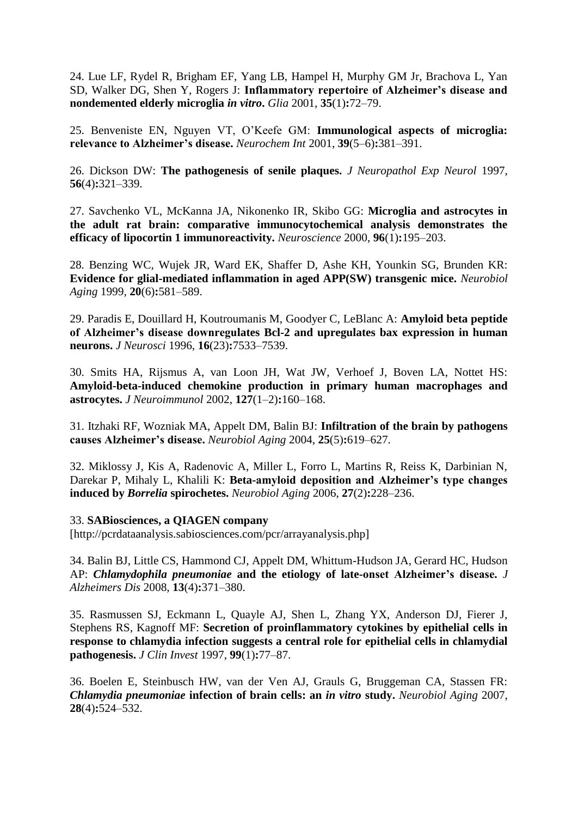24. Lue LF, Rydel R, Brigham EF, Yang LB, Hampel H, Murphy GM Jr, Brachova L, Yan SD, Walker DG, Shen Y, Rogers J: **Inflammatory repertoire of Alzheimer's disease and nondemented elderly microglia** *in vitro***.** *Glia* 2001, **35**(1)**:**72–79.

25. Benveniste EN, Nguyen VT, O'Keefe GM: **Immunological aspects of microglia: relevance to Alzheimer's disease.** *Neurochem Int* 2001, **39**(5–6)**:**381–391.

26. Dickson DW: **The pathogenesis of senile plaques.** *J Neuropathol Exp Neurol* 1997, **56**(4)**:**321–339.

27. Savchenko VL, McKanna JA, Nikonenko IR, Skibo GG: **Microglia and astrocytes in the adult rat brain: comparative immunocytochemical analysis demonstrates the efficacy of lipocortin 1 immunoreactivity.** *Neuroscience* 2000, **96**(1)**:**195–203.

28. Benzing WC, Wujek JR, Ward EK, Shaffer D, Ashe KH, Younkin SG, Brunden KR: **Evidence for glial-mediated inflammation in aged APP(SW) transgenic mice.** *Neurobiol Aging* 1999, **20**(6)**:**581–589.

29. Paradis E, Douillard H, Koutroumanis M, Goodyer C, LeBlanc A: **Amyloid beta peptide of Alzheimer's disease downregulates Bcl-2 and upregulates bax expression in human neurons.** *J Neurosci* 1996, **16**(23)**:**7533–7539.

30. Smits HA, Rijsmus A, van Loon JH, Wat JW, Verhoef J, Boven LA, Nottet HS: **Amyloid-beta-induced chemokine production in primary human macrophages and astrocytes.** *J Neuroimmunol* 2002, **127**(1–2)**:**160–168.

31. Itzhaki RF, Wozniak MA, Appelt DM, Balin BJ: **Infiltration of the brain by pathogens causes Alzheimer's disease.** *Neurobiol Aging* 2004, **25**(5)**:**619–627.

32. Miklossy J, Kis A, Radenovic A, Miller L, Forro L, Martins R, Reiss K, Darbinian N, Darekar P, Mihaly L, Khalili K: **Beta-amyloid deposition and Alzheimer's type changes induced by** *Borrelia* **spirochetes.** *Neurobiol Aging* 2006, **27**(2)**:**228–236.

#### 33. **SABiosciences, a QIAGEN company**

[http://pcrdataanalysis.sabiosciences.com/pcr/arrayanalysis.php]

34. Balin BJ, Little CS, Hammond CJ, Appelt DM, Whittum-Hudson JA, Gerard HC, Hudson AP: *Chlamydophila pneumoniae* **and the etiology of late-onset Alzheimer's disease.** *J Alzheimers Dis* 2008, **13**(4)**:**371–380.

35. Rasmussen SJ, Eckmann L, Quayle AJ, Shen L, Zhang YX, Anderson DJ, Fierer J, Stephens RS, Kagnoff MF: **Secretion of proinflammatory cytokines by epithelial cells in response to chlamydia infection suggests a central role for epithelial cells in chlamydial pathogenesis.** *J Clin Invest* 1997, **99**(1)**:**77–87.

36. Boelen E, Steinbusch HW, van der Ven AJ, Grauls G, Bruggeman CA, Stassen FR: *Chlamydia pneumoniae* **infection of brain cells: an** *in vitro* **study.** *Neurobiol Aging* 2007, **28**(4)**:**524–532.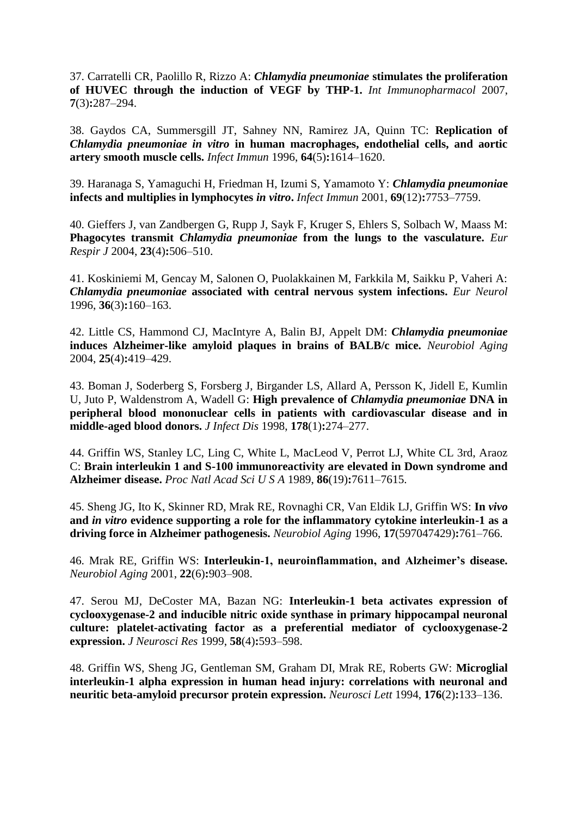37. Carratelli CR, Paolillo R, Rizzo A: *Chlamydia pneumoniae* **stimulates the proliferation of HUVEC through the induction of VEGF by THP-1.** *Int Immunopharmacol* 2007, **7**(3)**:**287–294.

38. Gaydos CA, Summersgill JT, Sahney NN, Ramirez JA, Quinn TC: **Replication of** *Chlamydia pneumoniae in vitro* **in human macrophages, endothelial cells, and aortic artery smooth muscle cells.** *Infect Immun* 1996, **64**(5)**:**1614–1620.

39. Haranaga S, Yamaguchi H, Friedman H, Izumi S, Yamamoto Y: *Chlamydia pneumonia***e infects and multiplies in lymphocytes** *in vitro***.** *Infect Immun* 2001, **69**(12)**:**7753–7759.

40. Gieffers J, van Zandbergen G, Rupp J, Sayk F, Kruger S, Ehlers S, Solbach W, Maass M: **Phagocytes transmit** *Chlamydia pneumoniae* **from the lungs to the vasculature.** *Eur Respir J* 2004, **23**(4)**:**506–510.

41. Koskiniemi M, Gencay M, Salonen O, Puolakkainen M, Farkkila M, Saikku P, Vaheri A: *Chlamydia pneumoniae* **associated with central nervous system infections.** *Eur Neurol* 1996, **36**(3)**:**160–163.

42. Little CS, Hammond CJ, MacIntyre A, Balin BJ, Appelt DM: *Chlamydia pneumoniae* **induces Alzheimer-like amyloid plaques in brains of BALB/c mice.** *Neurobiol Aging* 2004, **25**(4)**:**419–429.

43. Boman J, Soderberg S, Forsberg J, Birgander LS, Allard A, Persson K, Jidell E, Kumlin U, Juto P, Waldenstrom A, Wadell G: **High prevalence of** *Chlamydia pneumoniae* **DNA in peripheral blood mononuclear cells in patients with cardiovascular disease and in middle-aged blood donors.** *J Infect Dis* 1998, **178**(1)**:**274–277.

44. Griffin WS, Stanley LC, Ling C, White L, MacLeod V, Perrot LJ, White CL 3rd, Araoz C: **Brain interleukin 1 and S-100 immunoreactivity are elevated in Down syndrome and Alzheimer disease.** *Proc Natl Acad Sci U S A* 1989, **86**(19)**:**7611–7615.

45. Sheng JG, Ito K, Skinner RD, Mrak RE, Rovnaghi CR, Van Eldik LJ, Griffin WS: **In** *vivo* **and** *in vitro* **evidence supporting a role for the inflammatory cytokine interleukin-1 as a driving force in Alzheimer pathogenesis.** *Neurobiol Aging* 1996, **17**(597047429)**:**761–766.

46. Mrak RE, Griffin WS: **Interleukin-1, neuroinflammation, and Alzheimer's disease.** *Neurobiol Aging* 2001, **22**(6)**:**903–908.

47. Serou MJ, DeCoster MA, Bazan NG: **Interleukin-1 beta activates expression of cyclooxygenase-2 and inducible nitric oxide synthase in primary hippocampal neuronal culture: platelet-activating factor as a preferential mediator of cyclooxygenase-2 expression.** *J Neurosci Res* 1999, **58**(4)**:**593–598.

48. Griffin WS, Sheng JG, Gentleman SM, Graham DI, Mrak RE, Roberts GW: **Microglial interleukin-1 alpha expression in human head injury: correlations with neuronal and neuritic beta-amyloid precursor protein expression.** *Neurosci Lett* 1994, **176**(2)**:**133–136.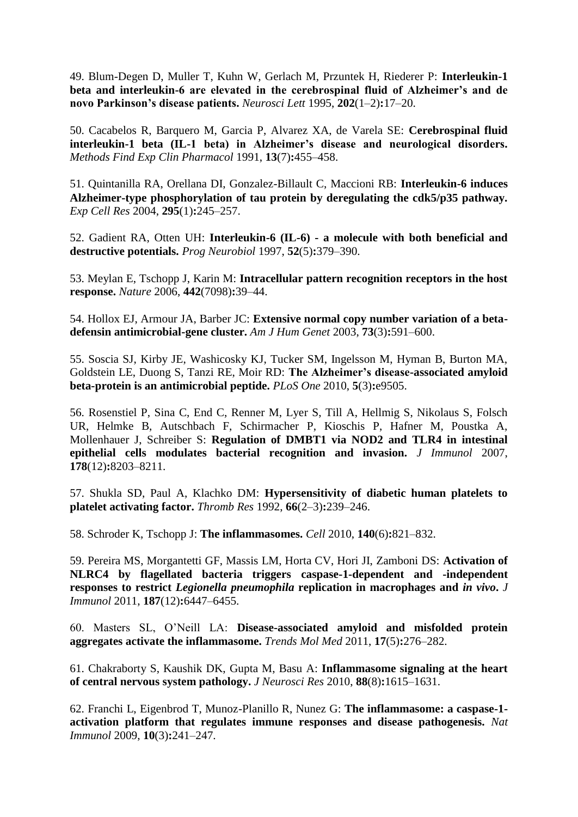49. Blum-Degen D, Muller T, Kuhn W, Gerlach M, Przuntek H, Riederer P: **Interleukin-1 beta and interleukin-6 are elevated in the cerebrospinal fluid of Alzheimer's and de novo Parkinson's disease patients.** *Neurosci Lett* 1995, **202**(1–2)**:**17–20.

50. Cacabelos R, Barquero M, Garcia P, Alvarez XA, de Varela SE: **Cerebrospinal fluid interleukin-1 beta (IL-1 beta) in Alzheimer's disease and neurological disorders.** *Methods Find Exp Clin Pharmacol* 1991, **13**(7)**:**455–458.

51. Quintanilla RA, Orellana DI, Gonzalez-Billault C, Maccioni RB: **Interleukin-6 induces Alzheimer-type phosphorylation of tau protein by deregulating the cdk5/p35 pathway.** *Exp Cell Res* 2004, **295**(1)**:**245–257.

52. Gadient RA, Otten UH: **Interleukin-6 (IL-6) - a molecule with both beneficial and destructive potentials.** *Prog Neurobiol* 1997, **52**(5)**:**379–390.

53. Meylan E, Tschopp J, Karin M: **Intracellular pattern recognition receptors in the host response.** *Nature* 2006, **442**(7098)**:**39–44.

54. Hollox EJ, Armour JA, Barber JC: **Extensive normal copy number variation of a betadefensin antimicrobial-gene cluster.** *Am J Hum Genet* 2003, **73**(3)**:**591–600.

55. Soscia SJ, Kirby JE, Washicosky KJ, Tucker SM, Ingelsson M, Hyman B, Burton MA, Goldstein LE, Duong S, Tanzi RE, Moir RD: **The Alzheimer's disease-associated amyloid beta-protein is an antimicrobial peptide.** *PLoS One* 2010, **5**(3)**:**e9505.

56. Rosenstiel P, Sina C, End C, Renner M, Lyer S, Till A, Hellmig S, Nikolaus S, Folsch UR, Helmke B, Autschbach F, Schirmacher P, Kioschis P, Hafner M, Poustka A, Mollenhauer J, Schreiber S: **Regulation of DMBT1 via NOD2 and TLR4 in intestinal epithelial cells modulates bacterial recognition and invasion.** *J Immunol* 2007, **178**(12)**:**8203–8211.

57. Shukla SD, Paul A, Klachko DM: **Hypersensitivity of diabetic human platelets to platelet activating factor.** *Thromb Res* 1992, **66**(2–3)**:**239–246.

58. Schroder K, Tschopp J: **The inflammasomes.** *Cell* 2010, **140**(6)**:**821–832.

59. Pereira MS, Morgantetti GF, Massis LM, Horta CV, Hori JI, Zamboni DS: **Activation of NLRC4 by flagellated bacteria triggers caspase-1-dependent and -independent responses to restrict** *Legionella pneumophila* **replication in macrophages and** *in vivo***.** *J Immunol* 2011, **187**(12)**:**6447–6455.

60. Masters SL, O'Neill LA: **Disease-associated amyloid and misfolded protein aggregates activate the inflammasome.** *Trends Mol Med* 2011, **17**(5)**:**276–282.

61. Chakraborty S, Kaushik DK, Gupta M, Basu A: **Inflammasome signaling at the heart of central nervous system pathology.** *J Neurosci Res* 2010, **88**(8)**:**1615–1631.

62. Franchi L, Eigenbrod T, Munoz-Planillo R, Nunez G: **The inflammasome: a caspase-1 activation platform that regulates immune responses and disease pathogenesis.** *Nat Immunol* 2009, **10**(3)**:**241–247.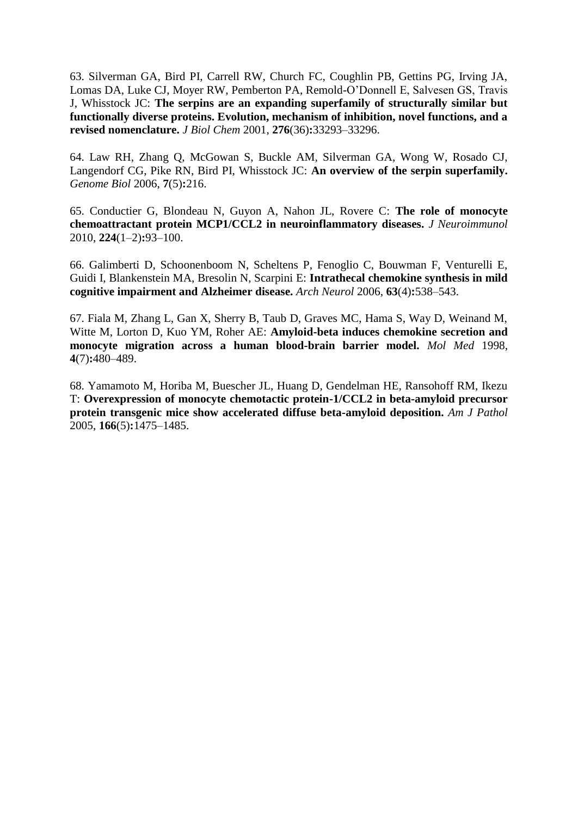63. Silverman GA, Bird PI, Carrell RW, Church FC, Coughlin PB, Gettins PG, Irving JA, Lomas DA, Luke CJ, Moyer RW, Pemberton PA, Remold-O'Donnell E, Salvesen GS, Travis J, Whisstock JC: **The serpins are an expanding superfamily of structurally similar but functionally diverse proteins. Evolution, mechanism of inhibition, novel functions, and a revised nomenclature.** *J Biol Chem* 2001, **276**(36)**:**33293–33296.

64. Law RH, Zhang Q, McGowan S, Buckle AM, Silverman GA, Wong W, Rosado CJ, Langendorf CG, Pike RN, Bird PI, Whisstock JC: **An overview of the serpin superfamily.** *Genome Biol* 2006, **7**(5)**:**216.

65. Conductier G, Blondeau N, Guyon A, Nahon JL, Rovere C: **The role of monocyte chemoattractant protein MCP1/CCL2 in neuroinflammatory diseases.** *J Neuroimmunol* 2010, **224**(1–2)**:**93–100.

66. Galimberti D, Schoonenboom N, Scheltens P, Fenoglio C, Bouwman F, Venturelli E, Guidi I, Blankenstein MA, Bresolin N, Scarpini E: **Intrathecal chemokine synthesis in mild cognitive impairment and Alzheimer disease.** *Arch Neurol* 2006, **63**(4)**:**538–543.

67. Fiala M, Zhang L, Gan X, Sherry B, Taub D, Graves MC, Hama S, Way D, Weinand M, Witte M, Lorton D, Kuo YM, Roher AE: **Amyloid-beta induces chemokine secretion and monocyte migration across a human blood-brain barrier model.** *Mol Med* 1998, **4**(7)**:**480–489.

68. Yamamoto M, Horiba M, Buescher JL, Huang D, Gendelman HE, Ransohoff RM, Ikezu T: **Overexpression of monocyte chemotactic protein-1/CCL2 in beta-amyloid precursor protein transgenic mice show accelerated diffuse beta-amyloid deposition.** *Am J Pathol* 2005, **166**(5)**:**1475–1485.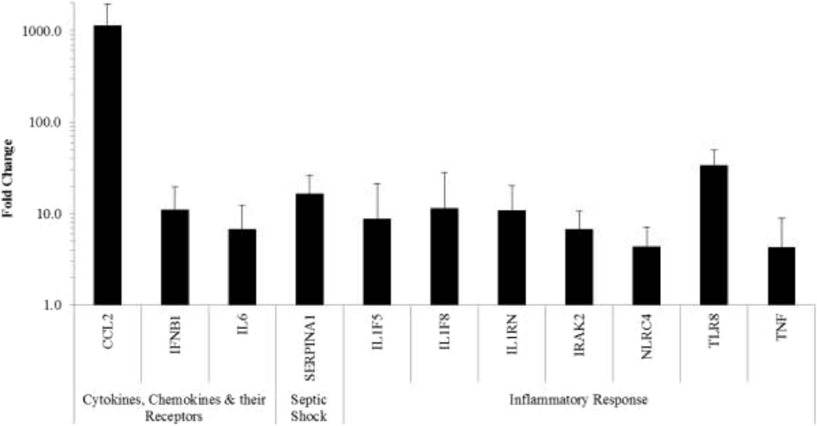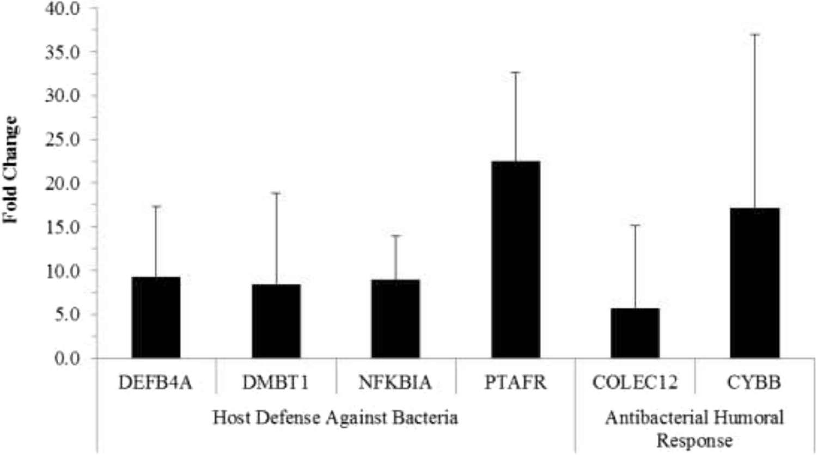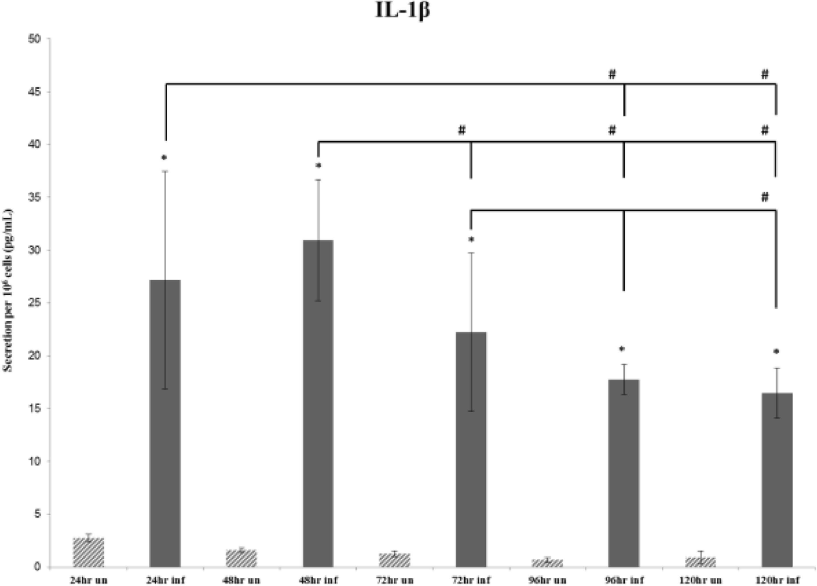IL-1 $\beta$ 

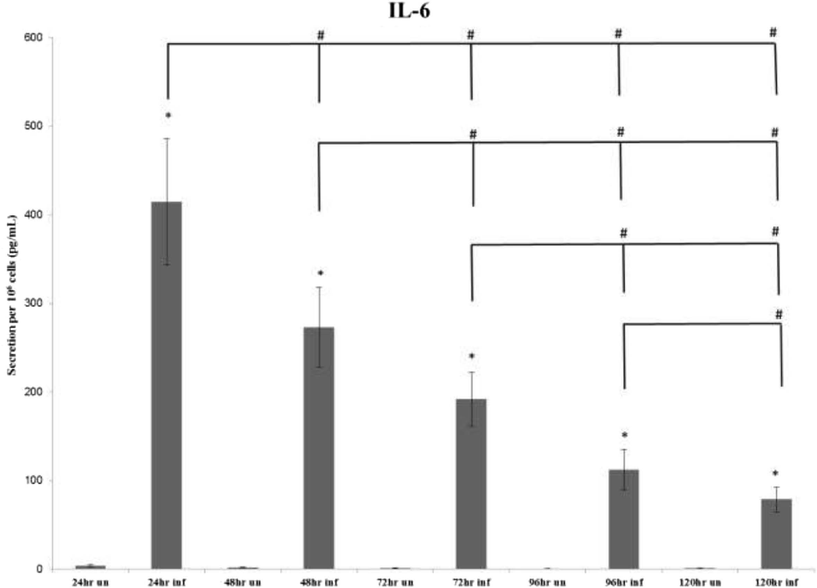